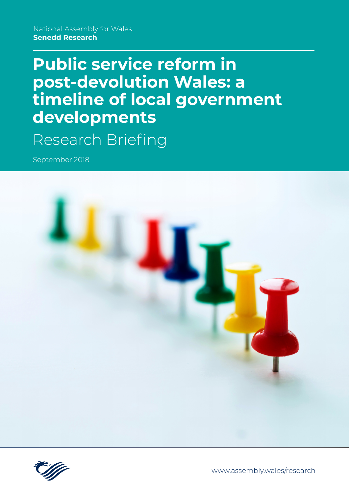National Assembly for Wales **Senedd Research**

# **Public service reform in post-devolution Wales: a timeline of local government developments** Research Briefing

September 2018





[www.assembly.wales/research](http://www.assembly.wales/research)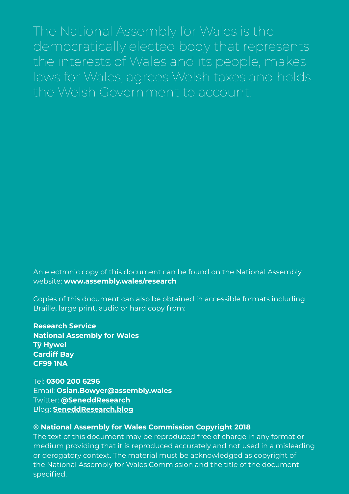The National Assembly for Wales is the democratically elected body that represents the interests of Wales and its people, makes laws for Wales, agrees Welsh taxes and holds the Welsh Government to account.

An electronic copy of this document can be found on the National Assembly website: **www.assembly.wales/research**

Copies of this document can also be obtained in accessible formats including Braille, large print, audio or hard copy from:

**Research Service National Assembly for Wales Tŷ Hywel Cardiff Bay CF99 1NA**

Tel: **0300 200 6296** Email: **[Osian.Bowyer@assembly.wales](mailto:?subject=)** Twitter: **[@SeneddResearch](http://www.twitter.com/@SeneddResearch)** Blog: **[SeneddResearch.blog](http://SeneddResearch.blog)**

#### **© National Assembly for Wales Commission Copyright 2018**

The text of this document may be reproduced free of charge in any format or medium providing that it is reproduced accurately and not used in a misleading or derogatory context. The material must be acknowledged as copyright of the National Assembly for Wales Commission and the title of the document specified.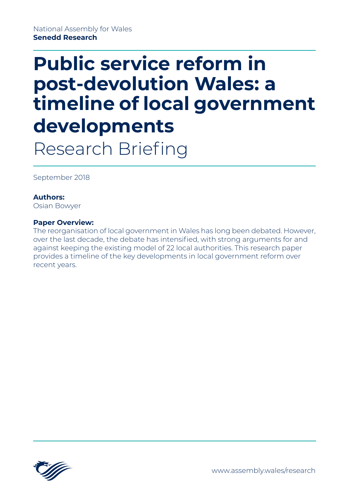# **Public service reform in post-devolution Wales: a timeline of local government developments** Research Briefing

September 2018

#### **Authors:**

Osian Bowyer

#### **Paper Overview:**

The reorganisation of local government in Wales has long been debated. However, over the last decade, the debate has intensified, with strong arguments for and against keeping the existing model of 22 local authorities. This research paper provides a timeline of the key developments in local government reform over recent years.

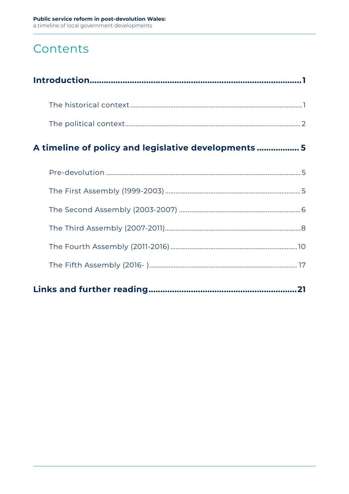# Contents

| A timeline of policy and legislative developments 5 |
|-----------------------------------------------------|
|                                                     |
|                                                     |
|                                                     |
|                                                     |
|                                                     |
|                                                     |
|                                                     |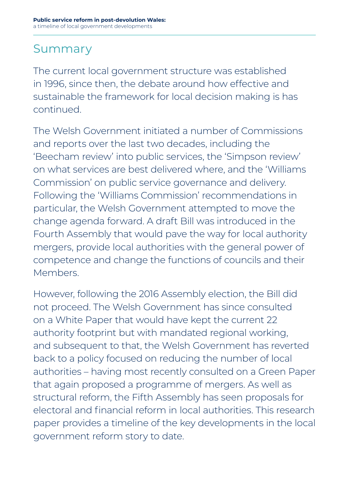# Summary

The current local government structure was established in 1996, since then, the debate around how effective and sustainable the framework for local decision making is has continued.

The Welsh Government initiated a number of Commissions and reports over the last two decades, including the 'Beecham review' into public services, the 'Simpson review' on what services are best delivered where, and the 'Williams Commission' on public service governance and delivery. Following the 'Williams Commission' recommendations in particular, the Welsh Government attempted to move the change agenda forward. A draft Bill was introduced in the Fourth Assembly that would pave the way for local authority mergers, provide local authorities with the general power of competence and change the functions of councils and their Members.

However, following the 2016 Assembly election, the Bill did not proceed. The Welsh Government has since consulted on a White Paper that would have kept the current 22 authority footprint but with mandated regional working, and subsequent to that, the Welsh Government has reverted back to a policy focused on reducing the number of local authorities – having most recently consulted on a Green Paper that again proposed a programme of mergers. As well as structural reform, the Fifth Assembly has seen proposals for electoral and financial reform in local authorities. This research paper provides a timeline of the key developments in the local government reform story to date.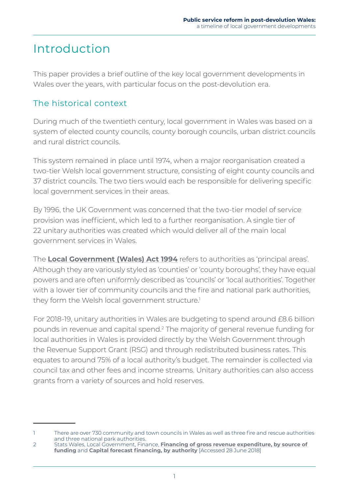# <span id="page-6-0"></span>Introduction

This paper provides a brief outline of the key local government developments in Wales over the years, with particular focus on the post-devolution era.

# The historical context

During much of the twentieth century, local government in Wales was based on a system of elected county councils, county borough councils, urban district councils and rural district councils.

This system remained in place until 1974, when a major reorganisation created a two-tier Welsh local government structure, consisting of eight county councils and 37 district councils. The two tiers would each be responsible for delivering specific local government services in their areas.

By 1996, the UK Government was concerned that the two-tier model of service provision was inefficient, which led to a further reorganisation. A single tier of 22 unitary authorities was created which would deliver all of the main local government services in Wales.

The **[Local Government \(Wales\) Act 1994](https://www.legislation.gov.uk/ukpga/1994/19/part/I/crossheading/the-new-areas-and-their-councils)** refers to authorities as 'principal areas'. Although they are variously styled as 'counties' or 'county boroughs', they have equal powers and are often uniformly described as 'councils' or 'local authorities'. Together with a lower tier of community councils and the fire and national park authorities, they form the Welsh local government structure.<sup>1</sup>

For 2018-19, unitary authorities in Wales are budgeting to spend around £8.6 billion pounds in revenue and capital spend.<sup>2</sup> The majority of general revenue funding for local authorities in Wales is provided directly by the Welsh Government through the Revenue Support Grant (RSG) and through redistributed business rates. This equates to around 75% of a local authority's budget. The remainder is collected via council tax and other fees and income streams. Unitary authorities can also access grants from a variety of sources and hold reserves.

<sup>1</sup> There are over 730 community and town councils in Wales as well as three fire and rescue authorities and three national park authorities.

<sup>2</sup> Stats Wales, Local Government, Finance, **[Financing of gross revenue expenditure, by source of](https://statswales.gov.wales/Catalogue/Local-Government/Finance/Revenue/Financing/financingofgrossrevenueexpenditure-by-sourceoffunding)  [funding](https://statswales.gov.wales/Catalogue/Local-Government/Finance/Revenue/Financing/financingofgrossrevenueexpenditure-by-sourceoffunding)** and **[Capital forecast financing, by authority](https://statswales.gov.wales/Catalogue/Local-Government/Finance/Capital/Forecast/capitalforecastfinancing-by-authority)** [Accessed 28 June 2018]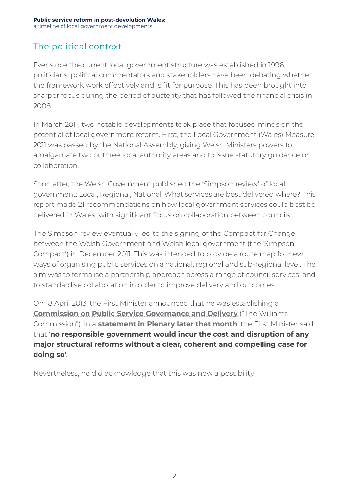### <span id="page-7-0"></span>The political context

Ever since the current local government structure was established in 1996, politicians, political commentators and stakeholders have been debating whether the framework work effectively and is fit for purpose. This has been brought into sharper focus during the period of austerity that has followed the financial crisis in 2008.

In March 2011, two notable developments took place that focused minds on the potential of local government reform. First, the Local Government (Wales) Measure 2011 was passed by the National Assembly, giving Welsh Ministers powers to amalgamate two or three local authority areas and to issue statutory guidance on collaboration.

Soon after, the Welsh Government published the 'Simpson review' of local government: Local, Regional, National: What services are best delivered where? This report made 21 recommendations on how local government services could best be delivered in Wales, with significant focus on collaboration between councils.

The Simpson review eventually led to the signing of the Compact for Change between the Welsh Government and Welsh local government (the 'Simpson Compact') in December 2011. This was intended to provide a route map for new ways of organising public services on a national, regional and sub-regional level. The aim was to formalise a partnership approach across a range of council services, and to standardise collaboration in order to improve delivery and outcomes.

On 18 April 2013, the First Minister announced that he was establishing a **[Commission on Public Service Governance and Delivery](https://gov.wales/about/cabinet/cabinetstatements/previous-administration/2013/publicservicegovernance/?lang=en)** ("The Williams Commission"). In a **[statement in Plenary later that month](http://www.assembly.wales/en/bus-home/pages/rop.aspx?meetingid=48&assembly=4&c=Record%20of%20Proceedings&startDt=01/04/2013&endDt=30/04/2013)**, the First Minister said that '**no responsible government would incur the cost and disruption of any major structural reforms without a clear, coherent and compelling case for doing so'**.

Nevertheless, he did acknowledge that this was now a possibility: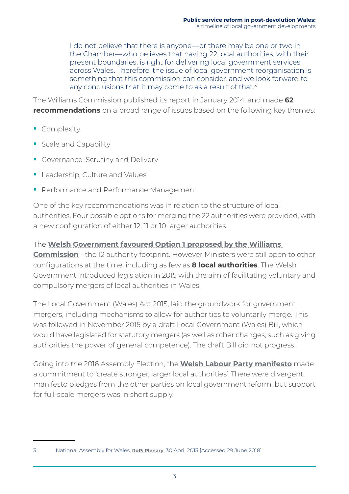I do not believe that there is anyone—or there may be one or two in the Chamber—who believes that having 22 local authorities, with their present boundaries, is right for delivering local government services across Wales. Therefore, the issue of local government reorganisation is something that this commission can consider, and we look forward to any conclusions that it may come to as a result of that.<sup>3</sup>

The Williams Commission published its [report](https://gov.wales/topics/improvingservices/public-service-governance-and-delivery/report/?lang=en) in January 2014, and made **62 recommendations** on a broad range of issues based on the following key themes:

- Complexity
- Scale and Capability
- Governance, Scrutiny and Delivery
- **Leadership, Culture and Values**
- Performance and Performance Management

One of the key recommendations was in relation to the structure of local authorities. Four possible options for merging the 22 authorities were provided, with a new configuration of either 12, 11 or 10 larger authorities.

#### The **[Welsh Government favoured Option 1 proposed by the Williams](https://gov.wales/about/cabinet/cabinetstatements/previous-administration/2015/lgfuture/?lang=en)**

**[Commission](https://gov.wales/about/cabinet/cabinetstatements/previous-administration/2015/lgfuture/?lang=en)** - the 12 authority footprint. However Ministers were still open to other configurations at the time, including as few as **8 local authorities**. The Welsh Government introduced legislation in 2015 with the aim of facilitating voluntary and compulsory mergers of local authorities in Wales.

The Local Government (Wales) Act 2015, laid the groundwork for government mergers, including mechanisms to allow for authorities to voluntarily merge. This was followed in November 2015 by a draft Local Government (Wales) Bill, which would have legislated for statutory mergers (as well as other changes, such as giving authorities the power of general competence). The draft Bill did not progress.

Going into the 2016 Assembly Election, the **[Welsh Labour Party manifesto](http://www.maniffesto.com/wp-content/uploads/2016/04/Labour-short-version.pdf)** made a commitment to 'create stronger, larger local authorities'. There were divergent manifesto pledges from the other parties on local government reform, but support for full-scale mergers was in short supply.

<sup>3</sup> National Assembly for Wales, **[RoP: Plenary](http://www.assembly.wales/en/bus-home/pages/rop.aspx?meetingid=48&assembly=4&c=Record%20of%20Proceedings&startDt=18/04/2013&endDt=18/05/2013)**, 30 April 2013 [Accessed 29 June 2018]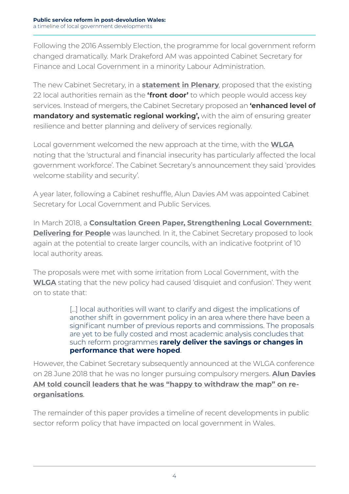Following the 2016 Assembly Election, the programme for local government reform changed dramatically. Mark Drakeford AM was appointed Cabinet Secretary for Finance and Local Government in a minority Labour Administration.

The new Cabinet Secretary, in a **statement in Plenary**, proposed that the existing 22 local authorities remain as the **'front door'** to which people would access key services. Instead of mergers, the Cabinet Secretary proposed an **'enhanced level of mandatory and systematic regional working',** with the aim of ensuring greater resilience and better planning and delivery of services regionally.

Local government welcomed the new approach at the time, with the **[WLGA](http://wlga.wales/councils-welcome-new-approach-to-reform-)** noting that the 'structural and financial insecurity has particularly affected the local government workforce'. The Cabinet Secretary's announcement they said 'provides welcome stability and security'.

A year later, following a Cabinet reshuffle, Alun Davies AM was appointed Cabinet Secretary for Local Government and Public Services.

In March 2018, a **[Consultation Green Paper, Strengthening Local Government:](https://beta.gov.wales/strengthening-local-government-delivering-people?_ga=2.208863314.1507974402.1528985310-1177745952.1527759783)  [Delivering for People](https://beta.gov.wales/strengthening-local-government-delivering-people?_ga=2.208863314.1507974402.1528985310-1177745952.1527759783)** was launched. In it, the Cabinet Secretary proposed to look again at the potential to create larger councils, with an indicative footprint of 10 local authority areas.

The proposals were met with some irritation from Local Government, with the **[WLGA](http://wlga.wales/wlga-response-to-welsh-governments-latest-announcement-on-local-government-reform)** stating that the new policy had caused 'disquiet and confusion'. They went on to state that:

> [...] local authorities will want to clarify and digest the implications of another shift in government policy in an area where there have been a significant number of previous reports and commissions. The proposals are yet to be fully costed and most academic analysis concludes that such reform programmes **rarely deliver the savings or changes in performance that were hoped**.

However, the Cabinet Secretary subsequently announced at the WLGA conference on 28 June 2018 that he was no longer pursuing compulsory mergers. **[Alun Davies](https://www.bbc.co.uk/news/uk-wales-politics-44643795)  [AM told council leaders that he was "happy to withdraw the map" on re](https://www.bbc.co.uk/news/uk-wales-politics-44643795)[organisations](https://www.bbc.co.uk/news/uk-wales-politics-44643795)**.

The remainder of this paper provides a timeline of recent developments in public sector reform policy that have impacted on local government in Wales.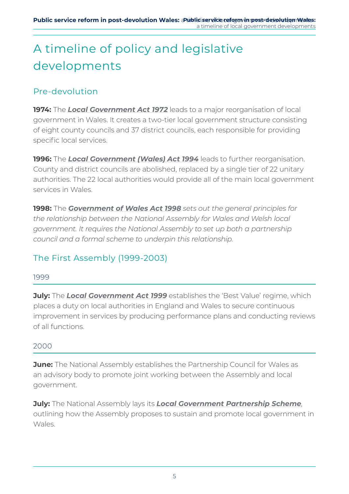# <span id="page-10-0"></span>A timeline of policy and legislative developments

### Pre-devolution

**1974:** The *[Local Government Act 1972](http://www.legislation.gov.uk/ukpga/1972/70/contents)* leads to a major reorganisation of local government in Wales. It creates a two-tier local government structure consisting of eight county councils and 37 district councils, each responsible for providing specific local services.

**1996:** The *[Local Government \(Wales\) Act 1994](http://www.legislation.gov.uk/ukpga/1994/19/contents)* leads to further reorganisation. County and district councils are abolished, replaced by a single tier of 22 unitary authorities. The 22 local authorities would provide all of the main local government services in Wales.

**1998:** The *[Government of Wales Act 1998](http://www.legislation.gov.uk/ukpga/1998/38/contents) sets out the general principles for the relationship between the National Assembly for Wales and Welsh local government. It requires the National Assembly to set up both a partnership council and a formal scheme to underpin this relationship.*

### The First Assembly (1999-2003)

#### 1999

**July:** The **[Local Government Act 1999](http://www.legislation.gov.uk/ukpga/1999/27/contents)** establishes the 'Best Value' regime, which places a duty on local authorities in England and Wales to secure continuous improvement in services by producing performance plans and conducting reviews of all functions.

#### 2000

**June:** The National Assembly establishes the Partnership Council for Wales as an advisory body to promote joint working between the Assembly and local government.

**July:** The National Assembly lays its *[Local Government Partnership Scheme](http://www.assembly.wales/laid%20documents/the%20national%20assembly%20for%20wales)*, outlining how the Assembly proposes to sustain and promote local government in Wales.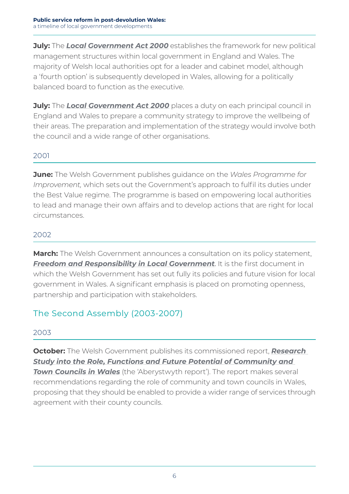<span id="page-11-0"></span>**July:** The **[Local Government Act 2000](http://www.legislation.gov.uk/ukpga/2000/22/contents)** establishes the framework for new political management structures within local government in England and Wales. The majority of Welsh local authorities opt for a leader and cabinet model, although a 'fourth option' is subsequently developed in Wales, allowing for a politically balanced board to function as the executive.

**July:** The **[Local Government Act 2000](http://www.legislation.gov.uk/ukpga/2000/22/contents)** places a duty on each principal council in England and Wales to prepare a community strategy to improve the wellbeing of their areas. The preparation and implementation of the strategy would involve both the council and a wide range of other organisations.

#### 2001

**June:** The Welsh Government publishes guidance on the *Wales Programme for Improvement,* which sets out the Government's approach to fulfil its duties under the Best Value regime*.* The programme is based on empowering local authorities to lead and manage their own affairs and to develop actions that are right for local circumstances.

#### 2002

**March:** The Welsh Government announces a consultation on its policy statement, **[Freedom and Responsibility in Local Government](https://welshgovernmentpublications.soutron.net/Publications/Library/Catalogues/Controls/Download.aspx?id=47977)**. It is the first document in which the Welsh Government has set out fully its policies and future vision for local government in Wales. A significant emphasis is placed on promoting openness, partnership and participation with stakeholders.

### The Second Assembly (2003-2007)

#### 2003

**October:** The Welsh Government publishes its commissioned report, *[Research](https://gov.wales/topics/localgovernment/research/rolecommunitycouncils/?skip=1&lang=en)  [Study into the Role, Functions and Future Potential of Community and](https://gov.wales/topics/localgovernment/research/rolecommunitycouncils/?skip=1&lang=en)  [Town Councils in Wales](https://gov.wales/topics/localgovernment/research/rolecommunitycouncils/?skip=1&lang=en)* (the 'Aberystwyth report'). The report makes several recommendations regarding the role of community and town councils in Wales, proposing that they should be enabled to provide a wider range of services through agreement with their county councils.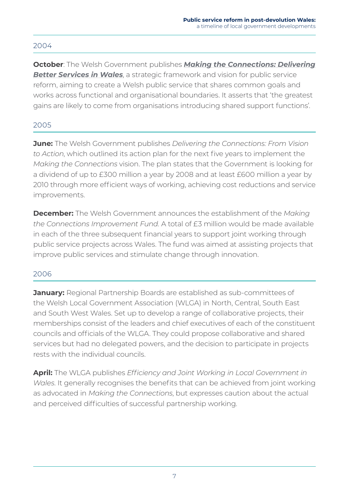#### 2004

**October**: The Welsh Government publishes *[Making the Connections: Delivering](http://www.wales.nhs.uk/sites3/Documents/591/Making%20the%20Connections.pdf)  [Better Services in Wales](http://www.wales.nhs.uk/sites3/Documents/591/Making%20the%20Connections.pdf)*, a strategic framework and vision for public service reform, aiming to create a Welsh public service that shares common goals and works across functional and organisational boundaries. It asserts that 'the greatest gains are likely to come from organisations introducing shared support functions'.

#### 2005

**June:** The Welsh Government publishes *Delivering the Connections: From Vision to Action*, which outlined its action plan for the next five years to implement the *Making the Connections* vision. The plan states that the Government is looking for a dividend of up to £300 million a year by 2008 and at least £600 million a year by 2010 through more efficient ways of working, achieving cost reductions and service improvements.

**December:** The Welsh Government announces the establishment of the *Making the Connections Improvement Fund.* A total of £3 million would be made available in each of the three subsequent financial years to support joint working through public service projects across Wales. The fund was aimed at assisting projects that improve public services and stimulate change through innovation.

#### 2006

**January:** Regional Partnership Boards are established as sub-committees of the Welsh Local Government Association (WLGA) in North, Central, South East and South West Wales. Set up to develop a range of collaborative projects, their memberships consist of the leaders and chief executives of each of the constituent councils and officials of the WLGA. They could propose collaborative and shared services but had no delegated powers, and the decision to participate in projects rests with the individual councils.

**April:** The WLGA publishes *Efficiency and Joint Working in Local Government in Wales*. It generally recognises the benefits that can be achieved from joint working as advocated in *Making the Connections*, but expresses caution about the actual and perceived difficulties of successful partnership working.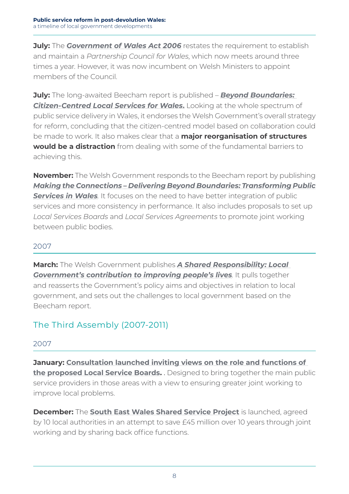<span id="page-13-0"></span>**July:** The *[Government of Wales Act 2006](http://www.legislation.gov.uk/ukpga/2006/32/contents)* restates the requirement to establish and maintain a *Partnership Council for Wales*, which now meets around three times a year. However, it was now incumbent on Welsh Ministers to appoint members of the Council.

**July:** The long-awaited Beecham report is published – *[Beyond Boundaries:](http://webarchive.nationalarchives.gov.uk/20080109181218/http:/new.wales.gov.uk/topics/improvingservices/newsevents/publications/beyondboundaries1/?lang=en)  [Citizen-Centred Local Services for Wales](http://webarchive.nationalarchives.gov.uk/20080109181218/http:/new.wales.gov.uk/topics/improvingservices/newsevents/publications/beyondboundaries1/?lang=en)***.** Looking at the whole spectrum of public service delivery in Wales, it endorses the Welsh Government's overall strategy for reform, concluding that the citizen-centred model based on collaboration could be made to work. It also makes clear that a **major reorganisation of structures would be a distraction** from dealing with some of the fundamental barriers to achieving this.

**November:** The Welsh Government responds to the Beecham report by publishing *[Making the Connections – Delivering Beyond Boundaries: Transforming Public](http://webarchive.nationalarchives.gov.uk/20080108134004/http:/new.wales.gov.uk/topics/improvingservices/newsevents/publications/deliveringbb1/?lang=en)*  **[Services in Wales](http://webarchive.nationalarchives.gov.uk/20080108134004/http:/new.wales.gov.uk/topics/improvingservices/newsevents/publications/deliveringbb1/?lang=en)**. It focuses on the need to have better integration of public services and more consistency in performance. It also includes proposals to set up *Local Services Boards* and *Local Services Agreements* to promote joint working between public bodies.

#### 2007

**March:** The Welsh Government publishes *[A Shared Responsibility: Local](https://gov.wales/topics/localgovernment/publications/sharedresponsibility/?lang=en)  [Government's contribution to improving people's lives](https://gov.wales/topics/localgovernment/publications/sharedresponsibility/?lang=en).* It pulls together and reasserts the Government's policy aims and objectives in relation to local government, and sets out the challenges to local government based on the Beecham report.

### The Third Assembly (2007-2011)

#### 2007

**January: [Consultation launched inviting views on the role and functions of](http://webarchive.nationalarchives.gov.uk/20080109175646/http:/new.wales.gov.uk/topics/improvingservices/localserviceboards/consultation/?lang=en&ts=3)  [the proposed Local Service Boards](http://webarchive.nationalarchives.gov.uk/20080109175646/http:/new.wales.gov.uk/topics/improvingservices/localserviceboards/consultation/?lang=en&ts=3).** . Designed to bring together the main public service providers in those areas with a view to ensuring greater joint working to improve local problems.

**December:** The **[South East Wales Shared Service Project](http://webarchive.nationalarchives.gov.uk/20080108120832/http:/new.wales.gov.uk/location/south_east_wales/inn/?lang=en)** is launched, agreed by 10 local authorities in an attempt to save £45 million over 10 years through joint working and by sharing back office functions.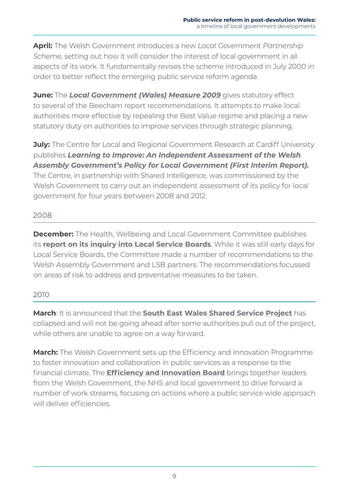**April:** The Welsh Government introduces a new *Local Government Partnership Scheme*, setting out how it will consider the interest of local government in all aspects of its work. It fundamentally revises the scheme introduced in July 2000 in order to better reflect the emerging public service reform agenda.

**June:** The **[Local Government \(Wales\) Measure 2009](http://www.legislation.gov.uk/mwa/2009/2/contents)** gives statutory effect to several of the Beecham report recommendations. It attempts to make local authorities more effective by repealing the Best Value regime and placing a new statutory duty on authorities to improve services through strategic planning.

**July:** The Centre for Local and Regional Government Research at Cardiff University publishes *[Learning to Improve: An Independent Assessment of the Welsh](https://www.researchgate.net/publication/239584375_Learning_to_Improve_An_Independent_Assessment_of_the_Welsh_Assembly_Government%27s_Policy_for_Local_Government)  [Assembly Government's Policy for Local Government \(First Interim Report\)](https://www.researchgate.net/publication/239584375_Learning_to_Improve_An_Independent_Assessment_of_the_Welsh_Assembly_Government%27s_Policy_for_Local_Government)***.** The Centre, in partnership with Shared Intelligence, was commissioned by the Welsh Government to carry out an independent assessment of its policy for local government for four years between 2008 and 2012.

#### 2008

**December:** The Health, Wellbeing and Local Government Committee publishes its **[report on its inquiry into Local Service Boards](http://www.assembly.wales/Laid%20Documents/CR-LD7339%20-%20Report%20by%20the%20Health,%20Wellbeing%20and%20Local%20Government%20Committee%20on%20its%20inquiry%20into%20Local%20Service%20Bo-18122008-109556/cr-ld7339-e-English.pdf)**. While it was still early days for Local Service Boards, the Committee made a number of recommendations to the Welsh Assembly Government and LSB partners. The recommendations focussed on areas of risk to address and preventative measures to be taken.

#### 2010

**March**: It is announced that the **[South East Wales Shared Service Project](http://news.bbc.co.uk/1/hi/wales/8041827.stm)** has collapsed and will not be going ahead after some authorities pull out of the project, while others are unable to agree on a way forward.

**March:** The Welsh Government sets up the Efficiency and Innovation Programme to foster innovation and collaboration in public services as a response to the financial climate. The **[Efficiency and Innovation Board](http://www.assembly.wales/en/bus-home/Pages/PlenaryItem.aspx?category=Ministerial%20Statement&itemid=652)** brings together leaders from the Welsh Government, the NHS and local government to drive forward a number of work streams, focusing on actions where a public service wide approach will deliver efficiencies.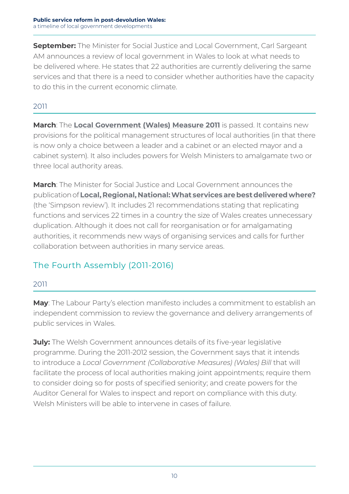<span id="page-15-0"></span>**September:** The Minister for Social Justice and Local Government, Carl Sargeant AM announces a review of local government in Wales to look at what needs to be delivered where. He states that 22 authorities are currently delivering the same services and that there is a need to consider whether authorities have the capacity to do this in the current economic climate.

#### 2011

**March**: The **[Local Government \(Wales\) Measure 2011](http://www.legislation.gov.uk/mwa/2011/4/contents)** is passed. It contains new provisions for the political management structures of local authorities (in that there is now only a choice between a leader and a cabinet or an elected mayor and a cabinet system). It also includes powers for Welsh Ministers to amalgamate two or three local authority areas.

**March**: The Minister for Social Justice and Local Government announces the publication of **[Local, Regional, National: What services are best delivered where?](https://gov.wales/docs/dsjlg/publications/localgov/110325lnrservicesv2en.pdf)** (the 'Simpson review'). It includes 21 recommendations stating that replicating functions and services 22 times in a country the size of Wales creates unnecessary duplication. Although it does not call for reorganisation or for amalgamating authorities, it recommends new ways of organising services and calls for further collaboration between authorities in many service areas.

## The Fourth Assembly (2011-2016)

#### 2011

**May**: The Labour Party's election manifesto includes a commitment to establish an independent commission to review the governance and delivery arrangements of public services in Wales.

**July:** The Welsh Government announces details of its five-year legislative programme. During the 2011-2012 session, the Government says that it intends to introduce a *Local Government (Collaborative Measures) (Wales) Bill* that will facilitate the process of local authorities making joint appointments; require them to consider doing so for posts of specified seniority; and create powers for the Auditor General for Wales to inspect and report on compliance with this duty. Welsh Ministers will be able to intervene in cases of failure.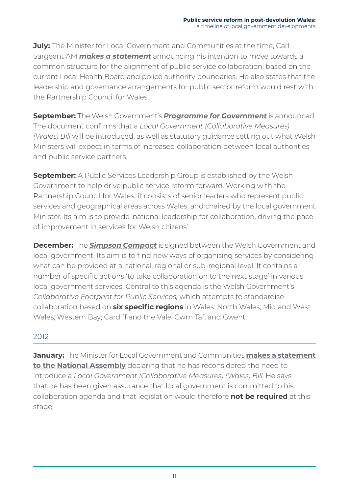**July:** The Minister for Local Government and Communities at the time, Carl Sargeant AM *[makes a statement](http://wales.gov.uk/about/cabinet/cabinetstatements/2011/13julypublicservices/?lang=en)* announcing his intention to move towards a common structure for the alignment of public service collaboration, based on the current Local Health Board and police authority boundaries. He also states that the leadership and governance arrangements for public sector reform would rest with the Partnership Council for Wales.

**September:** The Welsh Government's *[Programme for Government](http://wales.gov.uk/docs/strategies/110926p4gfull.pdf)* is announced. The document confirms that a *Local Government (Collaborative Measures) (Wales) Bill* will be introduced, as well as statutory guidance setting out what Welsh Ministers will expect in terms of increased collaboration between local authorities and public service partners.

**September:** A Public Services Leadership Group is established by the Welsh Government to help drive public service reform forward. Working with the Partnership Council for Wales, it consists of senior leaders who represent public services and geographical areas across Wales, and chaired by the local government Minister. Its aim is to provide 'national leadership for collaboration, driving the pace of improvement in services for Welsh citizens'.

**December:** The *[Simpson Compact](https://gov.wales/about/cabinet/cabinetstatements/previous-administration/2011/05decembersimpsoncompact/?lang=en)* is signed between the Welsh Government and local government. Its aim is to find new ways of organising services by considering what can be provided at a national, regional or sub-regional level. It contains a number of specific actions 'to take collaboration on to the next stage' in various local government services. Central to this agenda is the Welsh Government's *Collaborative Footprint for Public Services,* which attempts to standardise collaboration based on **six specific regions** in Wales: North Wales; Mid and West Wales; Western Bay; Cardiff and the Vale; Cwm Taf; and Gwent.

#### 2012

**January:** The Minister for Local Government and Communities **makes a statement to the National Assembly** declaring that he has reconsidered the need to introduce a *Local Government (Collaborative Measures) (Wales) Bill*. He says that he has been given assurance that local government is committed to his collaboration agenda and that legislation would therefore **not be required** at this stage.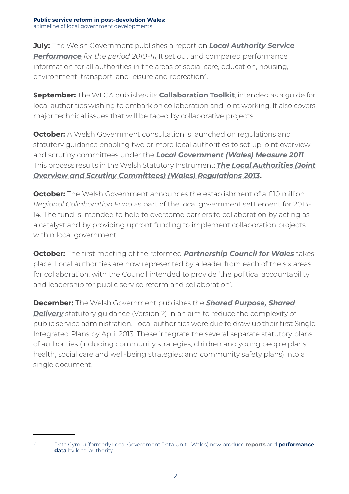**July:** The Welsh Government publishes a report on *[Local Authority Service](https://gov.wales/topics/improvingservices/local-authority-service-performance/introduction?skip=1&lang=en)  [Performance](https://gov.wales/topics/improvingservices/local-authority-service-performance/introduction?skip=1&lang=en) for the period 2010-11.* It set out and compared performance information for all authorities in the areas of social care, education, housing, environment, transport, and leisure and recreation<sup>4</sup>.

**September:** The WLGA publishes its **[Collaboration Toolkit](http://www.wlga.wales/SharedFiles/Download.aspx?pageid=62&fileid=856&mid=665)**, intended as a guide for local authorities wishing to embark on collaboration and joint working. It also covers major technical issues that will be faced by collaborative projects.

**October:** A Welsh Government consultation is launched on regulations and statutory guidance enabling two or more local authorities to set up joint overview and scrutiny committees under the *[Local Government \(Wales\) Measure 2011](https://www.legislation.gov.uk/mwa/2011/4/contents)*. This process results in the Welsh Statutory Instrument: *[The Local Authorities \(Joint](http://www.legislation.gov.uk/wsi/2013/1050/made)  [Overview and Scrutiny Committees\) \(Wales\) Regulations 2013](http://www.legislation.gov.uk/wsi/2013/1050/made)***.**

**October:** The Welsh Government announces the establishment of a £10 million *Regional Collaboration Fund* as part of the local government settlement for 2013- 14. The fund is intended to help to overcome barriers to collaboration by acting as a catalyst and by providing upfront funding to implement collaboration projects within local government.

**October:** The first meeting of the reformed *[Partnership Council for Wales](https://gov.wales/topics/localgovernment/partnership-with-local-government/pcfw/agendas/121024mtg/?lang=en)* takes place. Local authorities are now represented by a leader from each of the six areas for collaboration, with the Council intended to provide 'the political accountability and leadership for public service reform and collaboration'.

**December:** The Welsh Government publishes the *[Shared Purpose, Shared](https://gov.wales/docs/dpsp/publications/130205sharedpurpdeliveryv2en.pdf)*  **[Delivery](https://gov.wales/docs/dpsp/publications/130205sharedpurpdeliveryv2en.pdf)** statutory quidance (Version 2) in an aim to reduce the complexity of public service administration. Local authorities were due to draw up their first Single Integrated Plans by April 2013. These integrate the several separate statutory plans of authorities (including community strategies; children and young people plans; health, social care and well-being strategies; and community safety plans) into a single document.

<sup>4</sup> Data Cymru (formerly Local Government Data Unit - Wales) now produce **[reports](http://www.data.cymru/eng/measuring-local-authority-performance-2018-19)** and **performance data** by local authority.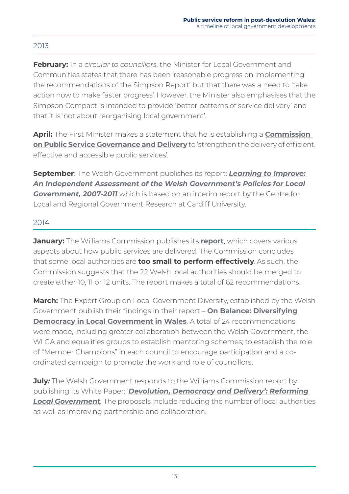#### 2013

**February:** In a *circular to councillors*, the Minister for Local Government and Communities states that there has been 'reasonable progress on implementing the recommendations of the Simpson Report' but that there was a need to 'take action now to make faster progress'. However, the Minister also emphasises that the Simpson Compact is intended to provide 'better patterns of service delivery' and that it is 'not about reorganising local government'.

**April:** The First Minister makes a statement that he is establishing a **[Commission](https://gov.wales/topics/improvingservices/public-service-governance-and-delivery/?lang=en)  [on Public Service Governance and Delivery](https://gov.wales/topics/improvingservices/public-service-governance-and-delivery/?lang=en)** to 'strengthen the delivery of efficient, effective and accessible public services'.

**September**: The Welsh Government publishes its report: *[Learning to Improve:](https://gov.wales/statistics-and-research/7945310/?skip=1&lang=en)  [An Independent Assessment of the Welsh Government's Policies for Local](https://gov.wales/statistics-and-research/7945310/?skip=1&lang=en)  [Government, 2007-2011](https://gov.wales/statistics-and-research/7945310/?skip=1&lang=en)* which is based on an interim report by the Centre for Local and Regional Government Research at Cardiff University.

#### 2014

**January:** The Williams Commission publishes its **[report](https://gov.wales/topics/improvingservices/public-service-governance-and-delivery/report/?lang=en)**, which covers various aspects about how public services are delivered. The Commission concludes that some local authorities are **too small to perform effectively**. As such, the Commission suggests that the 22 Welsh local authorities should be merged to create either 10, 11 or 12 units. The report makes a total of 62 recommendations.

**March:** The Expert Group on Local Government Diversity, established by the Welsh Government publish their findings in their report – **[On Balance: Diversifying](https://gov.wales/docs/dsjlg/publications/localgov/140305-expert-group-report-en.pdf)  [Democracy in Local Government in Wales](https://gov.wales/docs/dsjlg/publications/localgov/140305-expert-group-report-en.pdf)**. A total of 24 recommendations were made, including greater collaboration between the Welsh Government, the WLGA and equalities groups to establish mentoring schemes; to establish the role of "Member Champions" in each council to encourage participation and a coordinated campaign to promote the work and role of councillors.

**July:** The Welsh Government responds to the Williams Commission report by publishing its White Paper: '*[Devolution, Democracy and Delivery': Reforming](https://gov.wales/docs/dsjlg/consultation/140725-white-paper-consultationv2-en.pdf)  [Local Government](https://gov.wales/docs/dsjlg/consultation/140725-white-paper-consultationv2-en.pdf).* The proposals include reducing the number of local authorities as well as improving partnership and collaboration.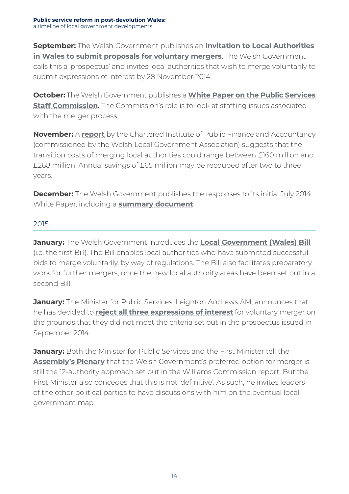**September:** The Welsh Government publishes an **[Invitation to Local Authorities](https://gov.wales/about/cabinet/cabinetstatements/previous-administration/2014/voluntarymerger/?lang=en)  [in Wales to submit proposals for voluntary mergers](https://gov.wales/about/cabinet/cabinetstatements/previous-administration/2014/voluntarymerger/?lang=en)**. The Welsh Government calls this a 'prospectus' and invites local authorities that wish to merge voluntarily to submit expressions of interest by 28 November 2014.

**October:** The Welsh Government publishes a **[White Paper on the Public Services](https://www.valeofglamorgan.gov.uk/Documents/_Committee%20Reports/Cabinet/2015/15-01-12/Draft-Consultation-Response-in-relation-to-Welsh-Government-White-Paper---Public-Services-Staff-Commission---Appendix-A.pdf)  [Staff Commission](https://www.valeofglamorgan.gov.uk/Documents/_Committee%20Reports/Cabinet/2015/15-01-12/Draft-Consultation-Response-in-relation-to-Welsh-Government-White-Paper---Public-Services-Staff-Commission---Appendix-A.pdf)**. The Commission's role is to look at staffing issues associated with the merger process.

**November:** A **[report](https://www.lgcplus.com/Journals/2014/11/25/y/f/s/Cipfa-Wales-transition-costs.pdf)** by the Chartered Institute of Public Finance and Accountancy (commissioned by the Welsh Local Government Association) suggests that the transition costs of merging local authorities could range between £160 million and £268 million. Annual savings of £65 million may be recouped after two to three years.

**December:** The Welsh Government publishes the responses to its initial July 2014 White Paper, including a **[summary document](https://gov.wales/docs/dsjlg/consultation/160712-draft-lg-bill-summary-responses-en.pdf)**.

#### 2015

**January:** The Welsh Government introduces the **[Local Government \(Wales\) Bill](http://senedd.assembly.wales/mgIssueHistoryHome.aspx?IId=11809)** (i.e. the first Bill). The Bill enables local authorities who have submitted successful bids to merge voluntarily, by way of regulations. The Bill also facilitates preparatory work for further mergers, once the new local authority areas have been set out in a second Bill.

**January:** The Minister for Public Services, Leighton Andrews AM, announces that he has decided to **[reject all three expressions of interest](https://gov.wales/topics/localgovernment/publications/local-authorities-proposals-for-voluntary-mergeres/?lang=en)** for voluntary merger on the grounds that they did not meet the criteria set out in the prospectus issued in September 2014.

**January:** Both the Minister for Public Services and the First Minister tell the **[Assembly's Plenary](http://www.assembly.wales/en/bus-home/pages/rop.aspx?meetingid=3103&assembly=4&c=Record%20of%20Proceedings&startDt=01/01/2015&endDt=31/01/2015)** that the Welsh Government's preferred option for merger is still the 12-authority approach set out in the Williams Commission report. But the First Minister also concedes that this is not 'definitive'. As such, he invites leaders of the other political parties to have discussions with him on the eventual local government map.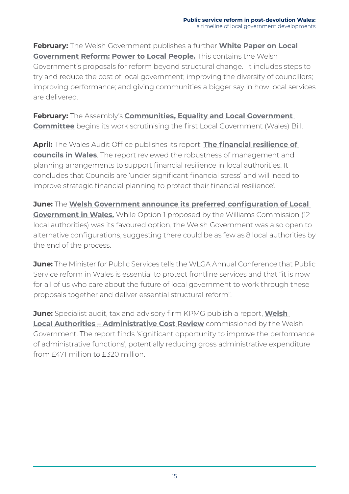**February:** The Welsh Government publishes a further **[White Paper on Local](https://gov.wales/docs/dsjlg/consultation/150203-power-to-local-people-full-en.pdf)  [Government Reform: Power to Local People.](https://gov.wales/docs/dsjlg/consultation/150203-power-to-local-people-full-en.pdf)** This contains the Welsh Government's proposals for reform beyond structural change. It includes steps to try and reduce the cost of local government; improving the diversity of councillors; improving performance; and giving communities a bigger say in how local services are delivered.

**February:** The Assembly's **[Communities, Equality and Local Government](http://senedd.assembly.wales/mgIssueHistoryHome.aspx?IId=11809)  [Committee](http://senedd.assembly.wales/mgIssueHistoryHome.aspx?IId=11809)** begins its work scrutinising the first Local Government (Wales) Bill.

**April:** The Wales Audit Office publishes its report: **[The financial resilience of](http://www.audit.wales/system/files/publications/Financial_resilience_2015_Eng.pdf)  [councils in Wales](http://www.audit.wales/system/files/publications/Financial_resilience_2015_Eng.pdf)**. The report reviewed the robustness of management and planning arrangements to support financial resilience in local authorities. It concludes that Councils are 'under significant financial stress' and will 'need to improve strategic financial planning to protect their financial resilience'.

**June:** The **[Welsh Government announce its preferred configuration of Local](https://gov.wales/about/cabinet/cabinetstatements/previous-administration/2015/lgfuture/?lang=en)  [Government in Wales.](https://gov.wales/about/cabinet/cabinetstatements/previous-administration/2015/lgfuture/?lang=en)** While Option 1 proposed by the Williams Commission (12) local authorities) was its favoured option, the Welsh Government was also open to alternative configurations, suggesting there could be as few as 8 local authorities by the end of the process.

**June:** The Minister for Public Services tells the WLGA Annual Conference that Public Service reform in Wales is essential to protect frontline services and that "it is now for all of us who care about the future of local government to work through these proposals together and deliver essential structural reform".

**June:** Specialist audit, tax and advisory firm KPMG publish a report, **[Welsh](https://gov.wales/docs/dsjlg/publications/localgov/150612-welsh-la-admin-cost-review.pdf)  Local Authorities - Administrative Cost Review** commissioned by the Welsh Government. The report finds 'significant opportunity to improve the performance of administrative functions', potentially reducing gross administrative expenditure from £471 million to £320 million.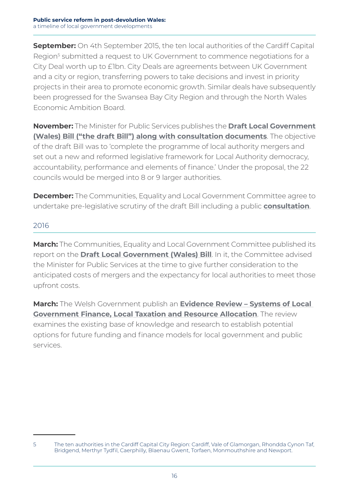**September:** On 4th September 2015, the ten local authorities of the Cardiff Capital Region<sup>5</sup> submitted a request to UK Government to commence negotiations for a City Deal worth up to £1bn. City Deals are agreements between UK Government and a city or region, transferring powers to take decisions and invest in priority projects in their area to promote economic growth. Similar deals have subsequently been progressed for the Swansea Bay City Region and through the North Wales Economic Ambition Board.

**November:** The Minister for Public Services publishes the **[Draft Local Government](https://gov.wales/betaconsultations/localgovernment/draft-local-government-(wales)-bill-consultation/?lang=en)  [\(Wales\) Bill \("the draft Bill"\) along with consultation documents](https://gov.wales/betaconsultations/localgovernment/draft-local-government-(wales)-bill-consultation/?lang=en)**. The objective of the draft Bill was to 'complete the programme of local authority mergers and set out a new and reformed legislative framework for Local Authority democracy, accountability, performance and elements of finance.' Under the proposal, the 22 councils would be merged into 8 or 9 larger authorities.

**December:** The Communities, Equality and Local Government Committee agree to undertake pre-legislative scrutiny of the draft Bill including a public **[consultation](http://senedd.assembly.wales/mgConsultationDisplay.aspx?id=209&RPID=1510675248&cp=yes)**.

#### 2016

**March:** The Communities, Equality and Local Government Committee published its report on the **[Draft Local Government \(Wales\) Bill](http://www.assembly.wales/laid%20documents/cr-ld10601/cr-ld10601-e.pdf)**. In it, the Committee advised the Minister for Public Services at the time to give further consideration to the anticipated costs of mergers and the expectancy for local authorities to meet those upfront costs.

**March:** The Welsh Government publish an **[Evidence Review – Systems of Local](https://gov.wales/statistics-and-research/evidence-review-systems-local-government-finance-local-taxation-resources-allocation/?lang=en)  [Government Finance, Local Taxation and Resource Allocation](https://gov.wales/statistics-and-research/evidence-review-systems-local-government-finance-local-taxation-resources-allocation/?lang=en)**. The review examines the existing base of knowledge and research to establish potential options for future funding and finance models for local government and public services.

<sup>5</sup> The ten authorities in the Cardiff Capital City Region: Cardiff, Vale of Glamorgan, Rhondda Cynon Taf, Bridgend, Merthyr Tydfil, Caerphilly, Blaenau Gwent, Torfaen, Monmouthshire and Newport.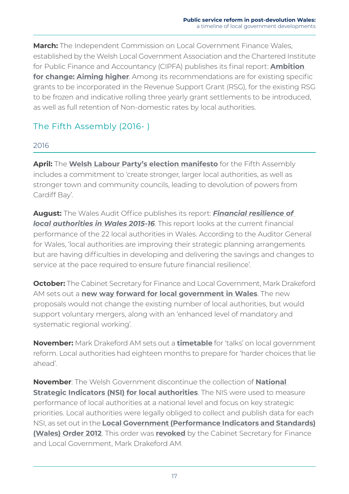<span id="page-22-0"></span>**March:** The Independent Commission on Local Government Finance Wales, established by the Welsh Local Government Association and the Chartered Institute for Public Finance and Accountancy (CIPFA) publishes its final report: **[Ambition](http://www.cipfa.org/partners/independent-commission-on-local-government-finance-wales/final-report)  [for change: Aiming higher](http://www.cipfa.org/partners/independent-commission-on-local-government-finance-wales/final-report)**. Among its recommendations are for existing specific grants to be incorporated in the Revenue Support Grant (RSG), for the existing RSG to be frozen and indicative rolling three yearly grant settlements to be introduced, as well as full retention of Non-domestic rates by local authorities.

## The Fifth Assembly (2016- )

#### 2016

**April:** The **[Welsh Labour Party's election manifesto](http://www.maniffesto.com/wp-content/uploads/2016/04/Labour-short-version.pdf)** for the Fifth Assembly includes a commitment to 'create stronger, larger local authorities, as well as stronger town and community councils, leading to devolution of powers from Cardiff Bay'.

**August:** The Wales Audit Office publishes its report: *[Financial resilience of](http://www.audit.wales/system/files/publications/445A2016-Financial-resilience-eng.pdf)  [local authorities in Wales 2015-16](http://www.audit.wales/system/files/publications/445A2016-Financial-resilience-eng.pdf).* This report looks at the current financial performance of the 22 local authorities in Wales. According to the Auditor General for Wales, 'local authorities are improving their strategic planning arrangements but are having difficulties in developing and delivering the savings and changes to service at the pace required to ensure future financial resilience'.

**October:** The Cabinet Secretary for Finance and Local Government, Mark Drakeford AM sets out a **[new way forward for local government in Wales](https://gov.wales/newsroom/localgovernment/2016/reform-local-government/?lang=en)**. The new proposals would not change the existing number of local authorities, but would support voluntary mergers, along with an 'enhanced level of mandatory and systematic regional working'.

**November:** Mark Drakeford AM sets out a **[timetable](https://gov.wales/newsroom/localgovernment/2016/161103-local-government-reform/?lang=en)** for 'talks' on local government reform. Local authorities had eighteen months to prepare for 'harder choices that lie ahead'.

**November**: The Welsh Government discontinue the collection of **[National](https://statswales.gov.wales/Catalogue/Local-Government/National-Strategic-Indicators-of-Local-Authority-Perfomance/nationalstrategicindicators-by-localauthority-indicator)  [Strategic Indicators \(NSI\) for local authorities](https://statswales.gov.wales/Catalogue/Local-Government/National-Strategic-Indicators-of-Local-Authority-Perfomance/nationalstrategicindicators-by-localauthority-indicator)**. The NIS were used to measure performance of local authorities at a national level and focus on key strategic priorities. Local authorities were legally obliged to collect and publish data for each NSI, as set out in the **[Local Government \(Performance Indicators and Standards\)](http://www.legislation.gov.uk/wsi/2012/2539/contents/made)  [\(Wales\) Order 2012](http://www.legislation.gov.uk/wsi/2012/2539/contents/made)**. This order was **[revoked](https://www.legislation.gov.uk/wsi/2016/1057/contents/made)** by the Cabinet Secretary for Finance and Local Government, Mark Drakeford AM.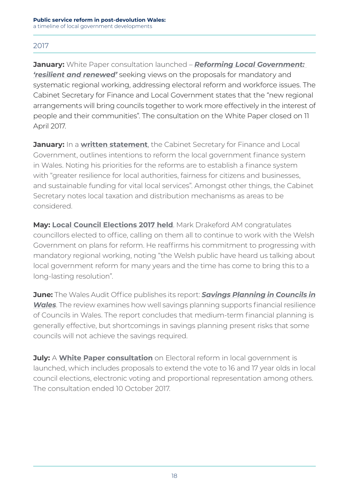#### 2017

**January:** White Paper consultation launched – *[Reforming Local Government:](https://beta.gov.wales/reforming-local-government-resilient-and-renewed)  ['resilient and renewed'](https://beta.gov.wales/reforming-local-government-resilient-and-renewed)* seeking views on the proposals for mandatory and systematic regional working, addressing electoral reform and workforce issues. The Cabinet Secretary for Finance and Local Government states that the "new regional arrangements will bring councils together to work more effectively in the interest of people and their communities". The consultation on the White Paper closed on 11 April 2017.

**January:** In a **[written statement](http://www.assembly.wales/ministerial%20statements%20documents/reforming%20the%20finance%20system%20for%20local%20government/170131%20md%20reforming%20finance%20system%20for%20lg%20-%20english.doc)**, the Cabinet Secretary for Finance and Local Government, outlines intentions to reform the local government finance system in Wales. Noting his priorities for the reforms are to establish a finance system with "greater resilience for local authorities, fairness for citizens and businesses, and sustainable funding for vital local services". Amongst other things, the Cabinet Secretary notes local taxation and distribution mechanisms as areas to be considered.

**May: [Local Council Elections 2017 held](https://seneddresearch.blog/2017/05/10/local-elections-2017-results/)**. Mark Drakeford AM congratulates councillors elected to office, calling on them all to continue to work with the Welsh Government on plans for reform. He reaffirms his commitment to progressing with mandatory regional working, noting "the Welsh public have heard us talking about local government reform for many years and the time has come to bring this to a long-lasting resolution".

**June:** The Wales Audit Office publishes its report: *[Savings Planning in Councils in](http://www.audit.wales/system/files/publications/Savings-planning-eng.pdf)  [Wales](http://www.audit.wales/system/files/publications/Savings-planning-eng.pdf)*. The review examines how well savings planning supports financial resilience of Councils in Wales. The report concludes that medium-term financial planning is generally effective, but shortcomings in savings planning present risks that some councils will not achieve the savings required.

**July: A [White Paper consultation](https://beta.gov.wales/electoral-reform-local-government-wales)** on Electoral reform in local government is launched, which includes proposals to extend the vote to 16 and 17 year olds in local council elections, electronic voting and proportional representation among others. The consultation ended 10 October 2017.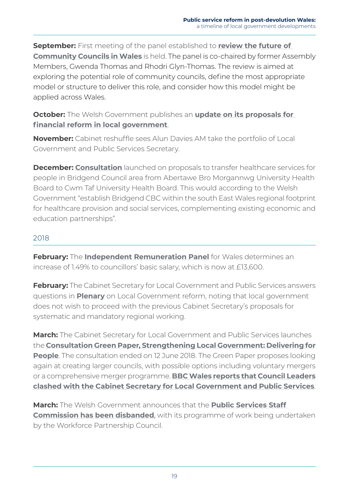**September:** First meeting of the panel established to **[review the future of](https://gov.wales/topics/localgovernment/communitytowncouncils/review-of-community-town-council-sector/?lang=en)  [Community Councils in Wales](https://gov.wales/topics/localgovernment/communitytowncouncils/review-of-community-town-council-sector/?lang=en)** is held. The panel is co-chaired by former Assembly Members, Gwenda Thomas and Rhodri Glyn-Thomas. The review is aimed at exploring the potential role of community councils, define the most appropriate model or structure to deliver this role, and consider how this model might be applied across Wales.

**October:** The Welsh Government publishes an **[update on its proposals for](https://gov.wales/topics/localgovernment/finandfunding/publications/finance-reform/?lang=en)  [financial reform in local government](https://gov.wales/topics/localgovernment/finandfunding/publications/finance-reform/?lang=en)**.

**November:** Cabinet reshuffle sees Alun Davies AM take the portfolio of Local Government and Public Services Secretary.

**December: [Consultation](https://beta.gov.wales/proposed-health-board-boundary-change-bridgend)** launched on proposals to transfer healthcare services for people in Bridgend Council area from Abertawe Bro Morgannwg University Health Board to Cwm Taf University Health Board. This would according to the Welsh Government "establish Bridgend CBC within the south East Wales regional footprint for healthcare provision and social services, complementing existing economic and education partnerships".

#### 2018

**February:** The **[Independent Remuneration Panel](https://gov.wales/newsroom/localgovernment/2018/180227-final-report/?lang=en)** for Wales determines an increase of 1.49% to councillors' basic salary, which is now at £13,600.

**February:** The Cabinet Secretary for Local Government and Public Services answers questions in **Plenary** on Local Government reform, noting that local government does not wish to proceed with the previous Cabinet Secretary's proposals for systematic and mandatory regional working.

**March:** The Cabinet Secretary for Local Government and Public Services launches the **[Consultation Green Paper, Strengthening Local Government: Delivering for](https://beta.gov.wales/strengthening-local-government-delivering-people?_ga=2.208863314.1507974402.1528985310-1177745952.1527759783)  [People](https://beta.gov.wales/strengthening-local-government-delivering-people?_ga=2.208863314.1507974402.1528985310-1177745952.1527759783)**. The consultation ended on 12 June 2018. The Green Paper proposes looking again at creating larger councils, with possible options including voluntary mergers or a comprehensive merger programme. **[BBC Wales reports that Council Leaders](https://www.bbc.co.uk/news/uk-wales-politics-43501659)  [clashed with the Cabinet Secretary for Local Government and Public Services](https://www.bbc.co.uk/news/uk-wales-politics-43501659)**.

**March:** The Welsh Government announces that the **[Public Services Staff](https://gov.wales/topics/improvingservices/staff-commission/?lang=en)  [Commission has been disbanded](https://gov.wales/topics/improvingservices/staff-commission/?lang=en)**, with its programme of work being undertaken by the Workforce Partnership Council.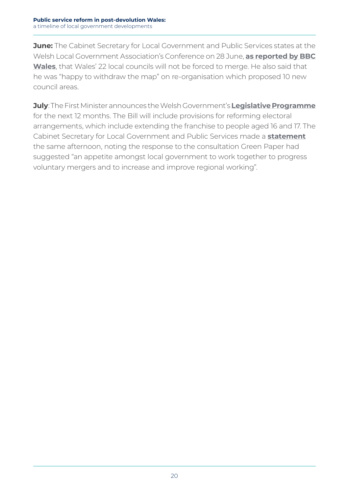**June:** The Cabinet Secretary for Local Government and Public Services states at the Welsh Local Government Association's Conference on 28 June, **[as reported by BBC](https://www.bbc.co.uk/news/uk-wales-politics-44643795)  [Wales](https://www.bbc.co.uk/news/uk-wales-politics-44643795)**, that Wales' 22 local councils will not be forced to merge. He also said that he was "happy to withdraw the map" on re-organisation which proposed 10 new council areas.

**July**: The First Minister announces the Welsh Government's **Legislative Programme** for the next 12 months. The Bill will include provisions for reforming electoral arrangements, which include extending the franchise to people aged 16 and 17. The Cabinet Secretary for Local Government and Public Services made a **statement** the same afternoon, noting the response to the consultation Green Paper had suggested "an appetite amongst local government to work together to progress voluntary mergers and to increase and improve regional working".